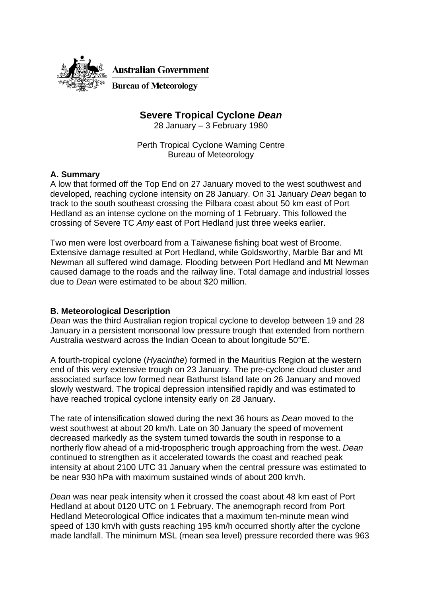

# **Severe Tropical Cyclone** *Dean*

28 January – 3 February 1980

Perth Tropical Cyclone Warning Centre Bureau of Meteorology

# **A. Summary**

A low that formed off the Top End on 27 January moved to the west southwest and developed, reaching cyclone intensity on 28 January. On 31 January *Dean* began to track to the south southeast crossing the Pilbara coast about 50 km east of Port Hedland as an intense cyclone on the morning of 1 February. This followed the crossing of Severe TC *Amy* east of Port Hedland just three weeks earlier.

Two men were lost overboard from a Taiwanese fishing boat west of Broome. Extensive damage resulted at Port Hedland, while Goldsworthy, Marble Bar and Mt Newman all suffered wind damage. Flooding between Port Hedland and Mt Newman caused damage to the roads and the railway line. Total damage and industrial losses due to *Dean* were estimated to be about \$20 million.

# **B. Meteorological Description**

*Dean* was the third Australian region tropical cyclone to develop between 19 and 28 January in a persistent monsoonal low pressure trough that extended from northern Australia westward across the Indian Ocean to about longitude 50°E.

A fourth-tropical cyclone (*Hyacinthe*) formed in the Mauritius Region at the western end of this very extensive trough on 23 January. The pre-cyclone cloud cluster and associated surface low formed near Bathurst Island late on 26 January and moved slowly westward. The tropical depression intensified rapidly and was estimated to have reached tropical cyclone intensity early on 28 January.

The rate of intensification slowed during the next 36 hours as *Dean* moved to the west southwest at about 20 km/h. Late on 30 January the speed of movement decreased markedly as the system turned towards the south in response to a northerly flow ahead of a mid-tropospheric trough approaching from the west. *Dean* continued to strengthen as it accelerated towards the coast and reached peak intensity at about 2100 UTC 31 January when the central pressure was estimated to be near 930 hPa with maximum sustained winds of about 200 km/h.

*Dean* was near peak intensity when it crossed the coast about 48 km east of Port Hedland at about 0120 UTC on 1 February. The anemograph record from Port Hedland Meteorological Office indicates that a maximum ten-minute mean wind speed of 130 km/h with gusts reaching 195 km/h occurred shortly after the cyclone made landfall. The minimum MSL (mean sea level) pressure recorded there was 963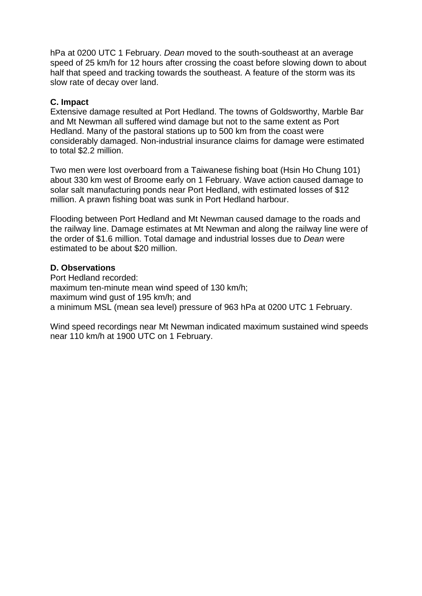hPa at 0200 UTC 1 February. *Dean* moved to the south-southeast at an average speed of 25 km/h for 12 hours after crossing the coast before slowing down to about half that speed and tracking towards the southeast. A feature of the storm was its slow rate of decay over land.

### **C. Impact**

Extensive damage resulted at Port Hedland. The towns of Goldsworthy, Marble Bar and Mt Newman all suffered wind damage but not to the same extent as Port Hedland. Many of the pastoral stations up to 500 km from the coast were considerably damaged. Non-industrial insurance claims for damage were estimated to total \$2.2 million.

Two men were lost overboard from a Taiwanese fishing boat (Hsin Ho Chung 101) about 330 km west of Broome early on 1 February. Wave action caused damage to solar salt manufacturing ponds near Port Hedland, with estimated losses of \$12 million. A prawn fishing boat was sunk in Port Hedland harbour.

Flooding between Port Hedland and Mt Newman caused damage to the roads and the railway line. Damage estimates at Mt Newman and along the railway line were of the order of \$1.6 million. Total damage and industrial losses due to *Dean* were estimated to be about \$20 million.

### **D. Observations**

Port Hedland recorded: maximum ten-minute mean wind speed of 130 km/h; maximum wind gust of 195 km/h; and a minimum MSL (mean sea level) pressure of 963 hPa at 0200 UTC 1 February.

Wind speed recordings near Mt Newman indicated maximum sustained wind speeds near 110 km/h at 1900 UTC on 1 February.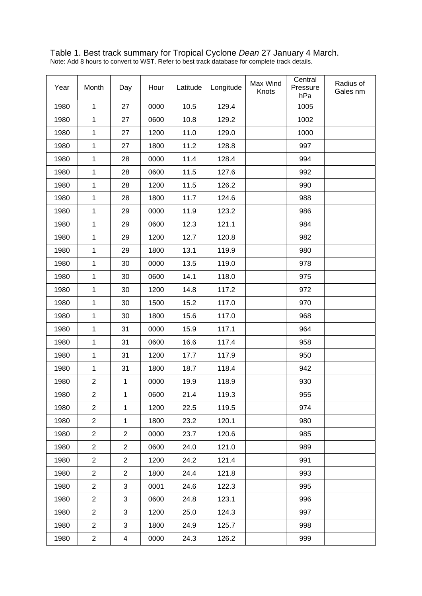Table 1. Best track summary for Tropical Cyclone *Dean* 27 January 4 March. Note: Add 8 hours to convert to WST. Refer to best track database for complete track details.

| Year | Month          | Day            | Hour | Latitude | Longitude | Max Wind<br>Knots | Central<br>Pressure<br>hPa | Radius of<br>Gales nm |
|------|----------------|----------------|------|----------|-----------|-------------------|----------------------------|-----------------------|
| 1980 | $\mathbf{1}$   | 27             | 0000 | 10.5     | 129.4     |                   | 1005                       |                       |
| 1980 | $\mathbf{1}$   | 27             | 0600 | 10.8     | 129.2     |                   | 1002                       |                       |
| 1980 | $\mathbf{1}$   | 27             | 1200 | 11.0     | 129.0     |                   | 1000                       |                       |
| 1980 | $\mathbf{1}$   | 27             | 1800 | 11.2     | 128.8     |                   | 997                        |                       |
| 1980 | $\mathbf{1}$   | 28             | 0000 | 11.4     | 128.4     |                   | 994                        |                       |
| 1980 | $\mathbf{1}$   | 28             | 0600 | 11.5     | 127.6     |                   | 992                        |                       |
| 1980 | $\mathbf{1}$   | 28             | 1200 | 11.5     | 126.2     |                   | 990                        |                       |
| 1980 | 1              | 28             | 1800 | 11.7     | 124.6     |                   | 988                        |                       |
| 1980 | $\mathbf{1}$   | 29             | 0000 | 11.9     | 123.2     |                   | 986                        |                       |
| 1980 | $\mathbf{1}$   | 29             | 0600 | 12.3     | 121.1     |                   | 984                        |                       |
| 1980 | $\mathbf{1}$   | 29             | 1200 | 12.7     | 120.8     |                   | 982                        |                       |
| 1980 | $\mathbf{1}$   | 29             | 1800 | 13.1     | 119.9     |                   | 980                        |                       |
| 1980 | $\mathbf{1}$   | 30             | 0000 | 13.5     | 119.0     |                   | 978                        |                       |
| 1980 | 1              | 30             | 0600 | 14.1     | 118.0     |                   | 975                        |                       |
| 1980 | $\mathbf{1}$   | 30             | 1200 | 14.8     | 117.2     |                   | 972                        |                       |
| 1980 | $\mathbf{1}$   | 30             | 1500 | 15.2     | 117.0     |                   | 970                        |                       |
| 1980 | $\mathbf{1}$   | 30             | 1800 | 15.6     | 117.0     |                   | 968                        |                       |
| 1980 | $\mathbf{1}$   | 31             | 0000 | 15.9     | 117.1     |                   | 964                        |                       |
| 1980 | $\mathbf 1$    | 31             | 0600 | 16.6     | 117.4     |                   | 958                        |                       |
| 1980 | $\mathbf 1$    | 31             | 1200 | 17.7     | 117.9     |                   | 950                        |                       |
| 1980 | $\mathbf{1}$   | 31             | 1800 | 18.7     | 118.4     |                   | 942                        |                       |
| 1980 | $\overline{2}$ | $\mathbf{1}$   | 0000 | 19.9     | 118.9     |                   | 930                        |                       |
| 1980 | 2              | 1              | 0600 | 21.4     | 119.3     |                   | 955                        |                       |
| 1980 | $\overline{2}$ | $\mathbf{1}$   | 1200 | 22.5     | 119.5     |                   | 974                        |                       |
| 1980 | $\overline{2}$ | $\mathbf{1}$   | 1800 | 23.2     | 120.1     |                   | 980                        |                       |
| 1980 | $\overline{2}$ | $\overline{2}$ | 0000 | 23.7     | 120.6     |                   | 985                        |                       |
| 1980 | $\overline{2}$ | $\overline{c}$ | 0600 | 24.0     | 121.0     |                   | 989                        |                       |
| 1980 | $\overline{2}$ | $\overline{2}$ | 1200 | 24.2     | 121.4     |                   | 991                        |                       |
| 1980 | $\overline{2}$ | $\overline{c}$ | 1800 | 24.4     | 121.8     |                   | 993                        |                       |
| 1980 | $\overline{2}$ | 3              | 0001 | 24.6     | 122.3     |                   | 995                        |                       |
| 1980 | $\overline{2}$ | 3              | 0600 | 24.8     | 123.1     |                   | 996                        |                       |
| 1980 | $\overline{2}$ | 3              | 1200 | 25.0     | 124.3     |                   | 997                        |                       |
| 1980 | $\overline{2}$ | 3              | 1800 | 24.9     | 125.7     |                   | 998                        |                       |
| 1980 | $\overline{2}$ | 4              | 0000 | 24.3     | 126.2     |                   | 999                        |                       |